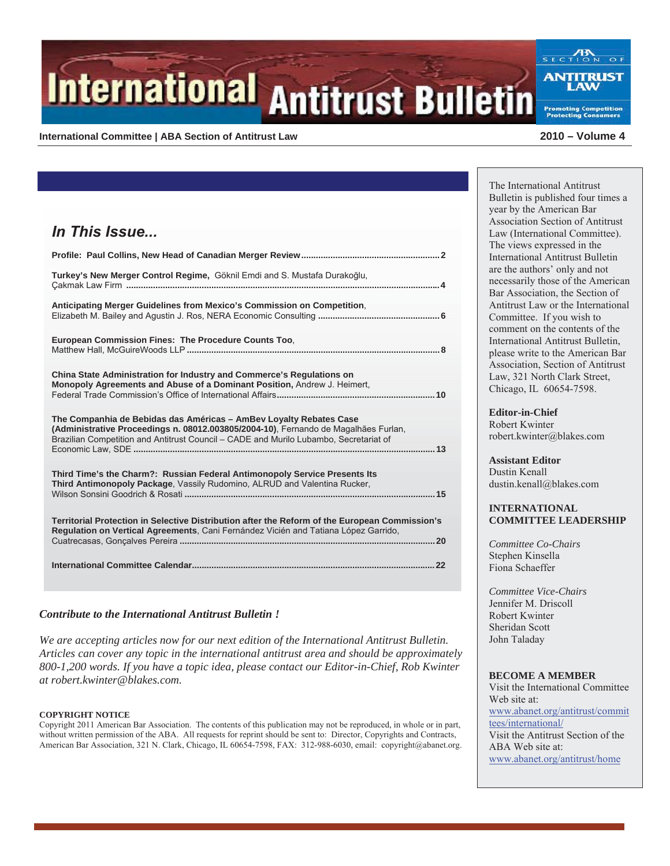# **International Antitrust Bulletin**

#### **International Committee | ABA Section of Antitrust Law 2010 – Volume 4**

**Promoting Competition** 

| In This Issue                                                                                                                                                                                                                                      |
|----------------------------------------------------------------------------------------------------------------------------------------------------------------------------------------------------------------------------------------------------|
|                                                                                                                                                                                                                                                    |
| Turkey's New Merger Control Regime, Göknil Emdi and S. Mustafa Durakoğlu,                                                                                                                                                                          |
| Anticipating Merger Guidelines from Mexico's Commission on Competition.                                                                                                                                                                            |
| European Commission Fines: The Procedure Counts Too,                                                                                                                                                                                               |
| China State Administration for Industry and Commerce's Regulations on<br>Monopoly Agreements and Abuse of a Dominant Position, Andrew J. Heimert,                                                                                                  |
| The Companhia de Bebidas das Américas – AmBey Loyalty Rebates Case<br>(Administrative Proceedings n. 08012.003805/2004-10), Fernando de Magalhães Furlan,<br>Brazilian Competition and Antitrust Council - CADE and Murilo Lubambo, Secretariat of |
| Third Time's the Charm?: Russian Federal Antimonopoly Service Presents Its<br>Third Antimonopoly Package, Vassily Rudomino, ALRUD and Valentina Rucker,                                                                                            |
| Territorial Protection in Selective Distribution after the Reform of the European Commission's<br>Regulation on Vertical Agreements, Cani Fernández Vicién and Tatiana López Garrido,                                                              |
|                                                                                                                                                                                                                                                    |

#### *Contribute to the International Antitrust Bulletin !*

*We are accepting articles now for our next edition of the International Antitrust Bulletin. Articles can cover any topic in the international antitrust area and should be approximately 800-1,200 words. If you have a topic idea, please contact our Editor-in-Chief, Rob Kwinter at robert.kwinter@blakes.com.* 

#### **COPYRIGHT NOTICE**

Copyright 2011 American Bar Association. The contents of this publication may not be reproduced, in whole or in part, without written permission of the ABA. All requests for reprint should be sent to: Director, Copyrights and Contracts, American Bar Association, 321 N. Clark, Chicago, IL 60654-7598, FAX: 312-988-6030, email: copyright@abanet.org.

The International Antitrust Bulletin is published four times a year by the American Bar Association Section of Antitrust Law (International Committee). The views expressed in the International Antitrust Bulletin are the authors' only and not necessarily those of the American Bar Association, the Section of Antitrust Law or the International Committee. If you wish to comment on the contents of the International Antitrust Bulletin, please write to the American Bar Association, Section of Antitrust Law, 321 North Clark Street, Chicago, IL 60654-7598.

**Editor-in-Chief** Robert Kwinter robert.kwinter@blakes.com

**Assistant Editor**  Dustin Kenall dustin.kenall@blakes.com

#### **INTERNATIONAL COMMITTEE LEADERSHIP**

*Committee Co-Chairs*  Stephen Kinsella Fiona Schaeffer

*Committee Vice-Chairs*  Jennifer M. Driscoll Robert Kwinter Sheridan Scott John Taladay

#### **BECOME A MEMBER**

Visit the International Committee Web site at: www.abanet.org/antitrust/commit tees/international/ Visit the Antitrust Section of the ABA Web site at: www.abanet.org/antitrust/home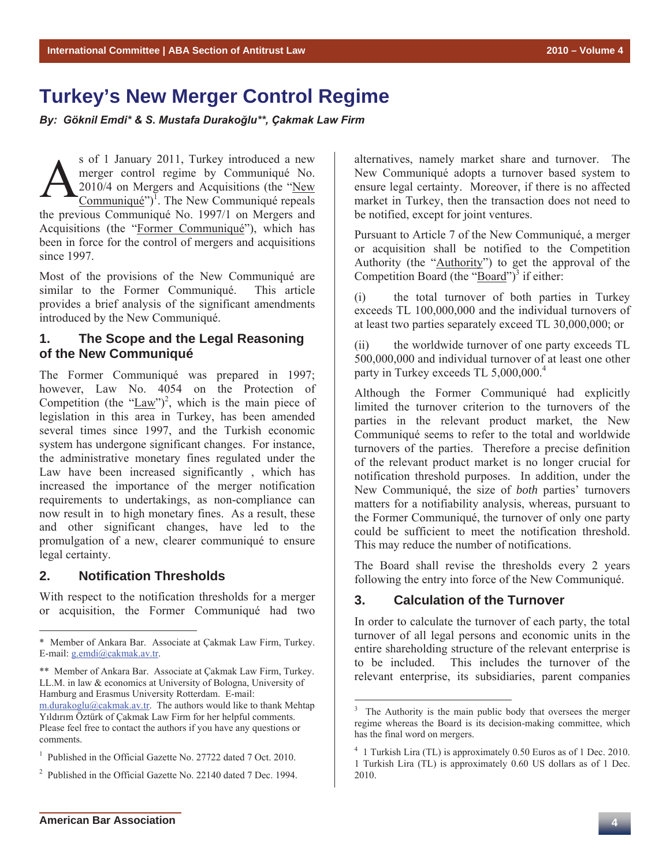# **Turkey's New Merger Control Regime**

By: Göknil Emdi\* & S. Mustafa Durakoğlu\*\*, Çakmak Law Firm

s of 1 January 2011, Turkey introduced a new merger control regime by Communiqué No. 2010/4 on Mergers and Acquisitions (the "New  $\text{Communique}^{\prime\prime}$ . The New Communiqué repeals the previous Communiqué No. 1997/1 on Mergers and Acquisitions (the "Former Communiqué"), which has been in force for the control of mergers and acquisitions since 1997.  $\mathbf{A}^{\tiny \text{sc}}_{\tiny \text{Co}}$ 

Most of the provisions of the New Communiqué are similar to the Former Communiqué. This article provides a brief analysis of the significant amendments introduced by the New Communiqué.

# **1. The Scope and the Legal Reasoning of the New Communiqué**

The Former Communiqué was prepared in 1997; however, Law No. 4054 on the Protection of Competition (the " $\frac{Law''}{2}$ , which is the main piece of legislation in this area in Turkey, has been amended several times since 1997, and the Turkish economic system has undergone significant changes. For instance, the administrative monetary fines regulated under the Law have been increased significantly , which has increased the importance of the merger notification requirements to undertakings, as non-compliance can now result in to high monetary fines. As a result, these and other significant changes, have led to the promulgation of a new, clearer communiqué to ensure legal certainty.

# **2. Notification Thresholds**

 $\overline{a}$ 

With respect to the notification thresholds for a merger or acquisition, the Former Communiqué had two

m.durakoglu@cakmak.av.tr. The authors would like to thank Mehtap Yıldırım Öztürk of Çakmak Law Firm for her helpful comments. Please feel free to contact the authors if you have any questions or comments.

alternatives, namely market share and turnover. The New Communiqué adopts a turnover based system to ensure legal certainty. Moreover, if there is no affected market in Turkey, then the transaction does not need to be notified, except for joint ventures.

Pursuant to Article 7 of the New Communiqué, a merger or acquisition shall be notified to the Competition Authority (the "Authority") to get the approval of the Competition Board (the " $\overline{Board}$ ")<sup>3</sup> if either:

(i) the total turnover of both parties in Turkey exceeds TL 100,000,000 and the individual turnovers of at least two parties separately exceed TL 30,000,000; or

(ii) the worldwide turnover of one party exceeds TL 500,000,000 and individual turnover of at least one other party in Turkey exceeds TL 5,000,000.<sup>4</sup>

Although the Former Communiqué had explicitly limited the turnover criterion to the turnovers of the parties in the relevant product market, the New Communiqué seems to refer to the total and worldwide turnovers of the parties. Therefore a precise definition of the relevant product market is no longer crucial for notification threshold purposes. In addition, under the New Communiqué, the size of *both* parties' turnovers matters for a notifiability analysis, whereas, pursuant to the Former Communiqué, the turnover of only one party could be sufficient to meet the notification threshold. This may reduce the number of notifications.

The Board shall revise the thresholds every 2 years following the entry into force of the New Communiqué.

#### **3. Calculation of the Turnover**

In order to calculate the turnover of each party, the total turnover of all legal persons and economic units in the entire shareholding structure of the relevant enterprise is to be included. This includes the turnover of the relevant enterprise, its subsidiaries, parent companies

<sup>\*</sup> Member of Ankara Bar. Associate at Çakmak Law Firm, Turkey. E-mail: g.emdi@cakmak.av.tr.

<sup>\*\*</sup> Member of Ankara Bar. Associate at Çakmak Law Firm, Turkey. LL.M. in law & economics at University of Bologna, University of Hamburg and Erasmus University Rotterdam. E-mail:

<sup>&</sup>lt;sup>1</sup> Published in the Official Gazette No. 27722 dated 7 Oct. 2010.

<sup>2</sup> Published in the Official Gazette No. 22140 dated 7 Dec. 1994.

<sup>&</sup>lt;sup>3</sup> The Authority is the main public body that oversees the merger regime whereas the Board is its decision-making committee, which has the final word on mergers.

<sup>&</sup>lt;sup>4</sup> 1 Turkish Lira (TL) is approximately 0.50 Euros as of 1 Dec. 2010. 1 Turkish Lira (TL) is approximately 0.60 US dollars as of 1 Dec. 2010.